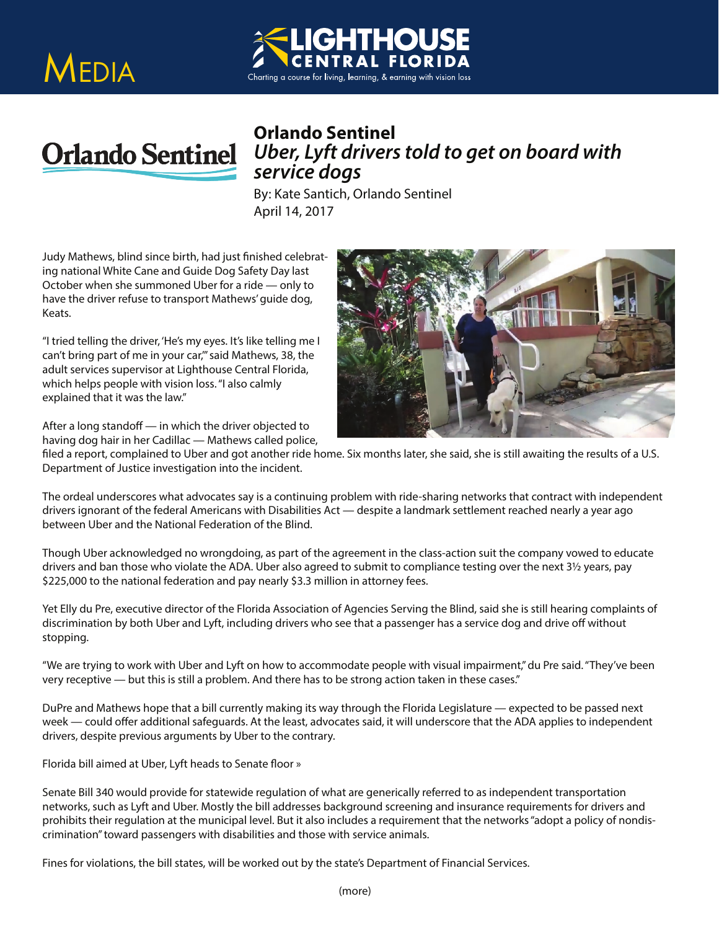## MEDIA





## *Uber, Lyft drivers told to get on board with service dogs*

**By: Kate Santich, Orlando Sentinel** April 14, 2017

Judy Mathews, blind since birth, had just finished celebrating national White Cane and Guide Dog Safety Day last October when she summoned Uber for a ride — only to have the driver refuse to transport Mathews' guide dog, Keats.

"I tried telling the driver, 'He's my eyes. It's like telling me I can't bring part of me in your car,'" said Mathews, 38, the adult services supervisor at Lighthouse Central Florida, which helps people with vision loss. "I also calmly explained that it was the law."



After a long standoff  $-$  in which the driver objected to having dog hair in her Cadillac — Mathews called police,

filed a report, complained to Uber and got another ride home. Six months later, she said, she is still awaiting the results of a U.S. Department of Justice investigation into the incident.

The ordeal underscores what advocates say is a continuing problem with ride-sharing networks that contract with independent drivers ignorant of the federal Americans with Disabilities Act — despite a landmark settlement reached nearly a year ago between Uber and the National Federation of the Blind.

Though Uber acknowledged no wrongdoing, as part of the agreement in the class-action suit the company vowed to educate drivers and ban those who violate the ADA. Uber also agreed to submit to compliance testing over the next 3½ years, pay \$225,000 to the national federation and pay nearly \$3.3 million in attorney fees.

Yet Elly du Pre, executive director of the Florida Association of Agencies Serving the Blind, said she is still hearing complaints of discrimination by both Uber and Lyft, including drivers who see that a passenger has a service dog and drive off without stopping.

"We are trying to work with Uber and Lyft on how to accommodate people with visual impairment," du Pre said. "They've been very receptive — but this is still a problem. And there has to be strong action taken in these cases."

DuPre and Mathews hope that a bill currently making its way through the Florida Legislature — expected to be passed next week — could offer additional safeguards. At the least, advocates said, it will underscore that the ADA applies to independent drivers, despite previous arguments by Uber to the contrary.

Florida bill aimed at Uber, Lyft heads to Senate floor »

Senate Bill 340 would provide for statewide regulation of what are generically referred to as independent transportation networks, such as Lyft and Uber. Mostly the bill addresses background screening and insurance requirements for drivers and prohibits their regulation at the municipal level. But it also includes a requirement that the networks "adopt a policy of nondiscrimination" toward passengers with disabilities and those with service animals.

Fines for violations, the bill states, will be worked out by the state's Department of Financial Services.